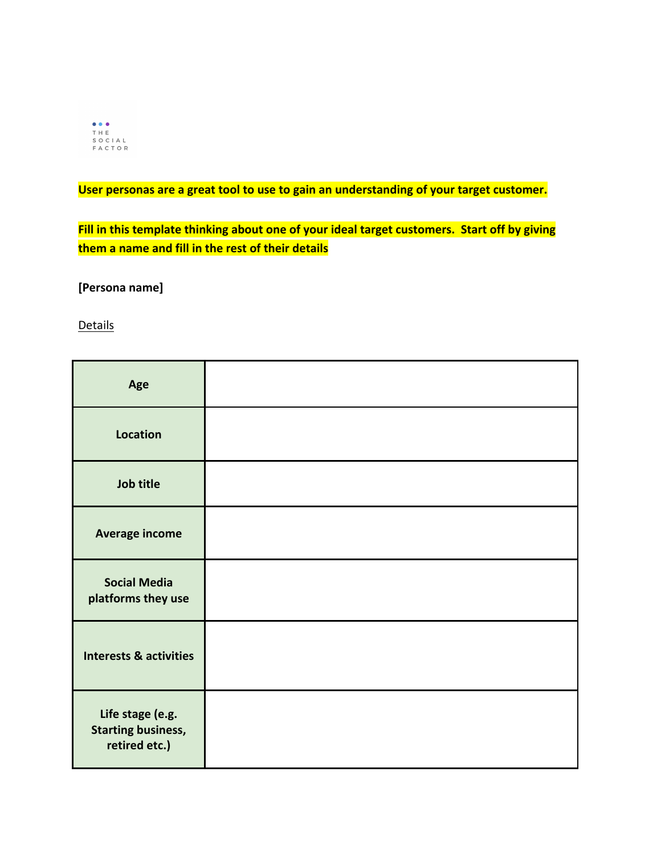

User personas are a great tool to use to gain an understanding of your target customer.

Fill in this template thinking about one of your ideal target customers. Start off by giving **them a name and fill in the rest of their details** 

**[Persona name]**

Details

| Age                                                            |  |
|----------------------------------------------------------------|--|
| <b>Location</b>                                                |  |
| Job title                                                      |  |
| <b>Average income</b>                                          |  |
| <b>Social Media</b><br>platforms they use                      |  |
| <b>Interests &amp; activities</b>                              |  |
| Life stage (e.g.<br><b>Starting business,</b><br>retired etc.) |  |